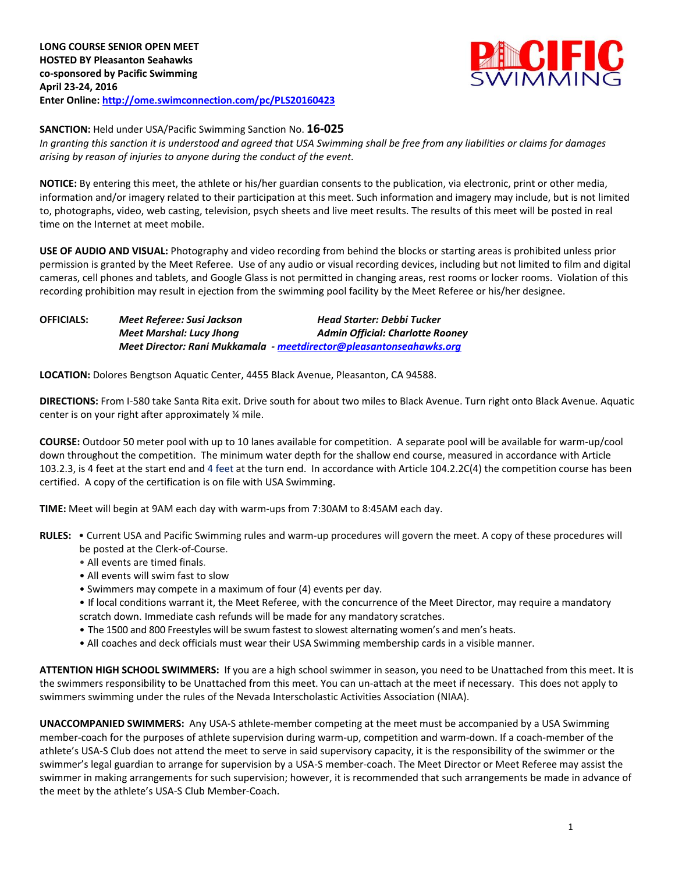

## **SANCTION:** Held under USA/Pacific Swimming Sanction No. **16-025**

*In granting this sanction it is understood and agreed that USA Swimming shall be free from any liabilities or claims for damages arising by reason of injuries to anyone during the conduct of the event.*

**NOTICE:** By entering this meet, the athlete or his/her guardian consents to the publication, via electronic, print or other media, information and/or imagery related to their participation at this meet. Such information and imagery may include, but is not limited to, photographs, video, web casting, television, psych sheets and live meet results. The results of this meet will be posted in real time on the Internet at meet mobile.

**USE OF AUDIO AND VISUAL:** Photography and video recording from behind the blocks or starting areas is prohibited unless prior permission is granted by the Meet Referee. Use of any audio or visual recording devices, including but not limited to film and digital cameras, cell phones and tablets, and Google Glass is not permitted in changing areas, rest rooms or locker rooms. Violation of this recording prohibition may result in ejection from the swimming pool facility by the Meet Referee or his/her designee.

**OFFICIALS:** *Meet Referee: Susi Jackson Head Starter: Debbi Tucker Meet Marshal: Lucy Jhong Admin Official: Charlotte Rooney Meet Director: Rani Mukkamala - [meetdirector@pleasantonseahawks.org](mailto:meetdirector@pleasantonseahawks.org)*

**LOCATION:** Dolores Bengtson Aquatic Center, 4455 Black Avenue, Pleasanton, CA 94588.

**DIRECTIONS:** From I-580 take Santa Rita exit. Drive south for about two miles to Black Avenue. Turn right onto Black Avenue. Aquatic center is on your right after approximately ¼ mile.

**COURSE:** Outdoor 50 meter pool with up to 10 lanes available for competition. A separate pool will be available for warm-up/cool down throughout the competition. The minimum water depth for the shallow end course, measured in accordance with Article 103.2.3, is 4 feet at the start end and 4 feet at the turn end. In accordance with Article 104.2.2C(4) the competition course has been certified. A copy of the certification is on file with USA Swimming.

**TIME:** Meet will begin at 9AM each day with warm-ups from 7:30AM to 8:45AM each day.

- **RULES:** Current USA and Pacific Swimming rules and warm-up procedures will govern the meet. A copy of these procedures will be posted at the Clerk-of-Course.
	- All events are timed finals.
	- All events will swim fast to slow
	- Swimmers may compete in a maximum of four (4) events per day.
	- If local conditions warrant it, the Meet Referee, with the concurrence of the Meet Director, may require a mandatory scratch down. Immediate cash refunds will be made for any mandatory scratches.
	- The 1500 and 800 Freestyles will be swum fastest to slowest alternating women's and men's heats.
	- All coaches and deck officials must wear their USA Swimming membership cards in a visible manner.

**ATTENTION HIGH SCHOOL SWIMMERS:** If you are a high school swimmer in season, you need to be Unattached from this meet. It is the swimmers responsibility to be Unattached from this meet. You can un-attach at the meet if necessary. This does not apply to swimmers swimming under the rules of the Nevada Interscholastic Activities Association (NIAA).

**UNACCOMPANIED SWIMMERS:** Any USA-S athlete-member competing at the meet must be accompanied by a USA Swimming member-coach for the purposes of athlete supervision during warm-up, competition and warm-down. If a coach-member of the athlete's USA-S Club does not attend the meet to serve in said supervisory capacity, it is the responsibility of the swimmer or the swimmer's legal guardian to arrange for supervision by a USA-S member-coach. The Meet Director or Meet Referee may assist the swimmer in making arrangements for such supervision; however, it is recommended that such arrangements be made in advance of the meet by the athlete's USA-S Club Member-Coach.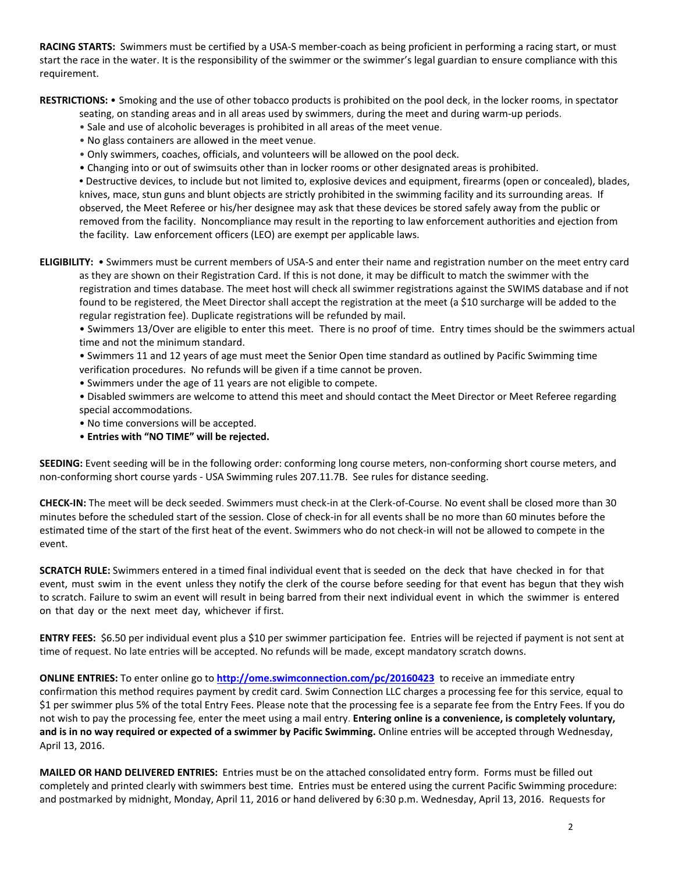**RACING STARTS:** Swimmers must be certified by a USA-S member-coach as being proficient in performing a racing start, or must start the race in the water. It is the responsibility of the swimmer or the swimmer's legal guardian to ensure compliance with this requirement.

**RESTRICTIONS:** • Smoking and the use of other tobacco products is prohibited on the pool deck, in the locker rooms, in spectator

seating, on standing areas and in all areas used by swimmers, during the meet and during warm-up periods.

- Sale and use of alcoholic beverages is prohibited in all areas of the meet venue.
- No glass containers are allowed in the meet venue.
- Only swimmers, coaches, officials, and volunteers will be allowed on the pool deck.
- Changing into or out of swimsuits other than in locker rooms or other designated areas is prohibited.

**•** Destructive devices, to include but not limited to, explosive devices and equipment, firearms (open or concealed), blades, knives, mace, stun guns and blunt objects are strictly prohibited in the swimming facility and its surrounding areas. If observed, the Meet Referee or his/her designee may ask that these devices be stored safely away from the public or removed from the facility. Noncompliance may result in the reporting to law enforcement authorities and ejection from the facility. Law enforcement officers (LEO) are exempt per applicable laws.

**ELIGIBILITY:** • Swimmers must be current members of USA-S and enter their name and registration number on the meet entry card as they are shown on their Registration Card. If this is not done, it may be difficult to match the swimmer with the registration and times database. The meet host will check all swimmer registrations against the SWIMS database and if not found to be registered, the Meet Director shall accept the registration at the meet (a \$10 surcharge will be added to the regular registration fee). Duplicate registrations will be refunded by mail.

• Swimmers 13/Over are eligible to enter this meet. There is no proof of time. Entry times should be the swimmers actual time and not the minimum standard.

• Swimmers 11 and 12 years of age must meet the Senior Open time standard as outlined by Pacific Swimming time verification procedures. No refunds will be given if a time cannot be proven.

- Swimmers under the age of 11 years are not eligible to compete.
- Disabled swimmers are welcome to attend this meet and should contact the Meet Director or Meet Referee regarding special accommodations.
- No time conversions will be accepted.
- **Entries with "NO TIME" will be rejected.**

**SEEDING:** Event seeding will be in the following order: conforming long course meters, non-conforming short course meters, and non-conforming short course yards - USA Swimming rules 207.11.7B. See rules for distance seeding.

**CHECK-IN:** The meet will be deck seeded. Swimmers must check-in at the Clerk-of-Course. No event shall be closed more than 30 minutes before the scheduled start of the session. Close of check‐in for all events shall be no more than 60 minutes before the estimated time of the start of the first heat of the event. Swimmers who do not check-in will not be allowed to compete in the event.

**SCRATCH RULE:** Swimmers entered in a timed final individual event that is seeded on the deck that have checked in for that event, must swim in the event unless they notify the clerk of the course before seeding for that event has begun that they wish to scratch. Failure to swim an event will result in being barred from their next individual event in which the swimmer is entered on that day or the next meet day, whichever if first.

**ENTRY FEES:** \$6.50 per individual event plus a \$10 per swimmer participation fee. Entries will be rejected if payment is not sent at time of request. No late entries will be accepted. No refunds will be made, except mandatory scratch downs.

**ONLINE ENTRIES:** To enter online go to **<http://ome.swimconnection.com/pc/20160423>**to receive an immediate entry confirmation this method requires payment by credit card. Swim Connection LLC charges a processing fee for this service, equal to \$1 per swimmer plus 5% of the total Entry Fees. Please note that the processing fee is a separate fee from the Entry Fees. If you do not wish to pay the processing fee, enter the meet using a mail entry. **Entering online is a convenience, is completely voluntary, and is in no way required or expected of a swimmer by Pacific Swimming.** Online entries will be accepted through Wednesday, April 13, 2016.

**MAILED OR HAND DELIVERED ENTRIES:** Entries must be on the attached consolidated entry form. Forms must be filled out completely and printed clearly with swimmers best time. Entries must be entered using the current Pacific Swimming procedure: and postmarked by midnight, Monday, April 11, 2016 or hand delivered by 6:30 p.m. Wednesday, April 13, 2016. Requests for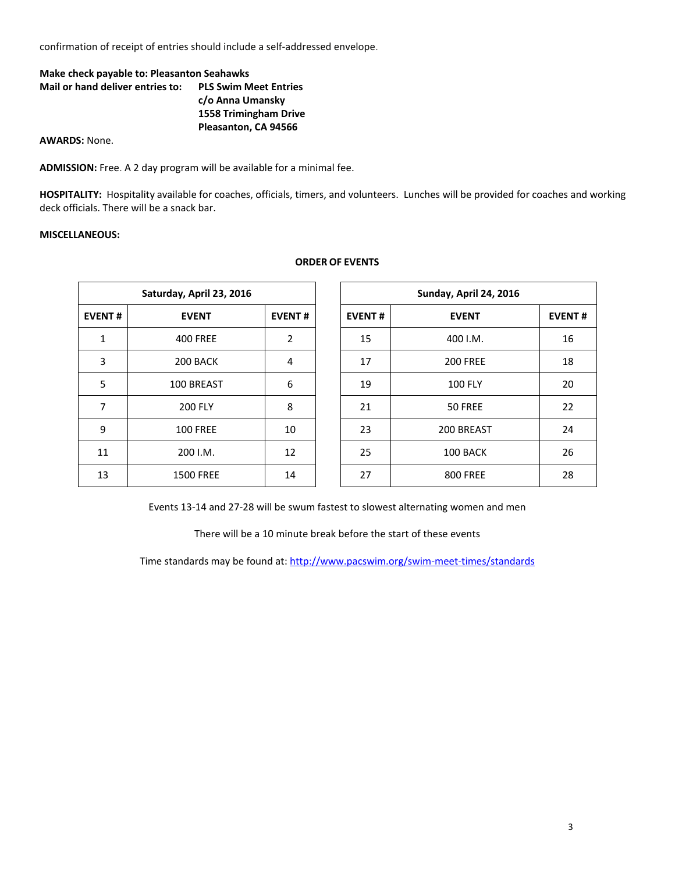confirmation of receipt of entries should include a self-addressed envelope.

## **Make check payable to: Pleasanton Seahawks Mail or hand deliver entries to: PLS Swim Meet Entries c/o Anna Umansky 1558 Trimingham Drive Pleasanton, CA 94566**

**AWARDS:** None.

**ADMISSION:** Free. A 2 day program will be available for a minimal fee.

**HOSPITALITY:** Hospitality available for coaches, officials, timers, and volunteers. Lunches will be provided for coaches and working deck officials. There will be a snack bar.

## **MISCELLANEOUS:**

|               | Saturday, April 23, 2016 |                | Sunday, April 24, 2016 |                 |               |  |  |
|---------------|--------------------------|----------------|------------------------|-----------------|---------------|--|--|
| <b>EVENT#</b> | <b>EVENT</b>             | <b>EVENT#</b>  | <b>EVENT#</b>          | <b>EVENT</b>    | <b>EVENT#</b> |  |  |
| $\mathbf{1}$  | <b>400 FREE</b>          | $\overline{2}$ | 15                     | 400 I.M.        | 16            |  |  |
| 3             | 200 BACK                 | 4              | 17                     | <b>200 FREE</b> | 18            |  |  |
| 5             | 100 BREAST               | 6              | 19                     | <b>100 FLY</b>  | 20            |  |  |
| 7             | <b>200 FLY</b>           | 8              | 21                     | 50 FREE         | 22            |  |  |
| 9             | <b>100 FREE</b>          | 10             | 23                     | 200 BREAST      | 24            |  |  |
| 11            | 200 I.M.                 | 12             | 25                     | 100 BACK        | 26            |  |  |
| 13            | <b>1500 FREE</b>         | 14             | 27                     | <b>800 FREE</b> | 28            |  |  |

**ORDER OF EVENTS**

Events 13-14 and 27-28 will be swum fastest to slowest alternating women and men

There will be a 10 minute break before the start of these events

Time standards may be found at:<http://www.pacswim.org/swim-meet-times/standards>